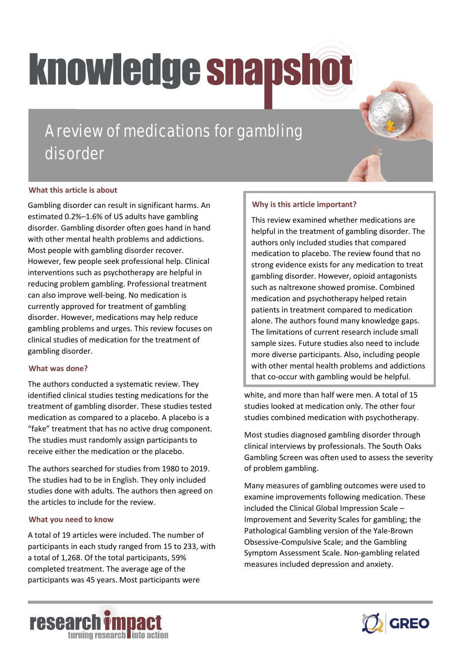# knowledge snapshot

A review of medications for gambling disorder

### **What this article is about**

Gambling disorder can result in significant harms. An estimated 0.2%–1.6% of US adults have gambling disorder. Gambling disorder often goes hand in hand with other mental health problems and addictions. Most people with gambling disorder recover. However, few people seek professional help. Clinical interventions such as psychotherapy are helpful in reducing problem gambling. Professional treatment can also improve well-being. No medication is currently approved for treatment of gambling disorder. However, medications may help reduce gambling problems and urges. This review focuses on clinical studies of medication for the treatment of gambling disorder.

#### **What was done?**

The authors conducted a systematic review. They identified clinical studies testing medications for the treatment of gambling disorder. These studies tested medication as compared to a placebo. A placebo is a "fake" treatment that has no active drug component. The studies must randomly assign participants to receive either the medication or the placebo.

The authors searched for studies from 1980 to 2019. The studies had to be in English. They only included studies done with adults. The authors then agreed on the articles to include for the review.

#### **What you need to know**

A total of 19 articles were included. The number of participants in each study ranged from 15 to 233, with a total of 1,268. Of the total participants, 59% completed treatment. The average age of the participants was 45 years. Most participants were

#### **Why is this article important?**

This review examined whether medications are helpful in the treatment of gambling disorder. The authors only included studies that compared medication to placebo. The review found that no strong evidence exists for any medication to treat gambling disorder. However, opioid antagonists such as naltrexone showed promise. Combined medication and psychotherapy helped retain patients in treatment compared to medication alone. The authors found many knowledge gaps. The limitations of current research include small sample sizes. Future studies also need to include more diverse participants. Also, including people with other mental health problems and addictions that co-occur with gambling would be helpful.

white, and more than half were men. A total of 15 studies looked at medication only. The other four studies combined medication with psychotherapy.

Most studies diagnosed gambling disorder through clinical interviews by professionals. The South Oaks Gambling Screen was often used to assess the severity of problem gambling.

Many measures of gambling outcomes were used to examine improvements following medication. These included the Clinical Global Impression Scale – Improvement and Severity Scales for gambling; the Pathological Gambling version of the Yale-Brown Obsessive-Compulsive Scale; and the Gambling Symptom Assessment Scale. Non-gambling related measures included depression and anxiety.